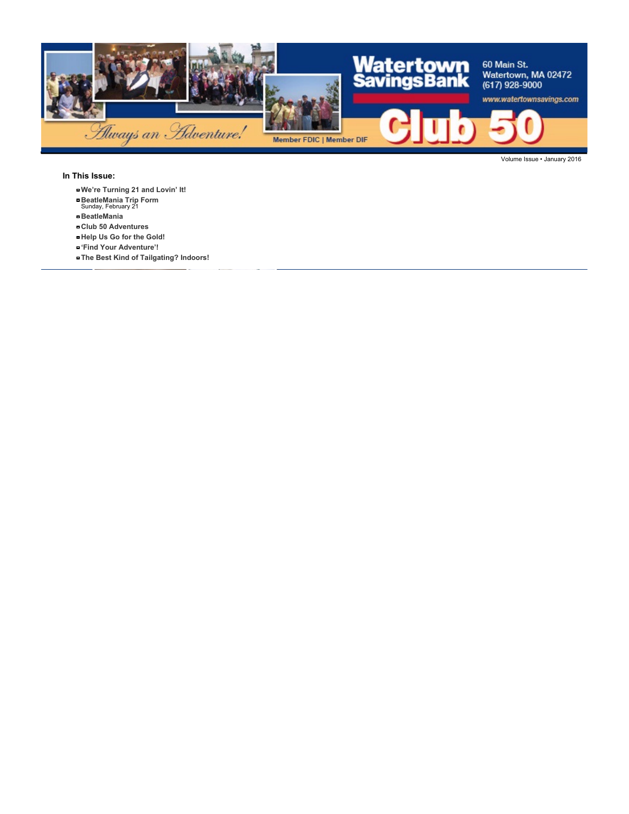

**In This Issue:**

- **We're Turning 21 and Lovin' It!**
- **BeatleMania Trip Form** Sunday, February 21
- **BeatleMania**
- **Club 50 Adventures**
- **Help Us Go for the Gold!**
- **'Find Your Adventure'!**
- **The Best Kind of Tailgating? Indoors!**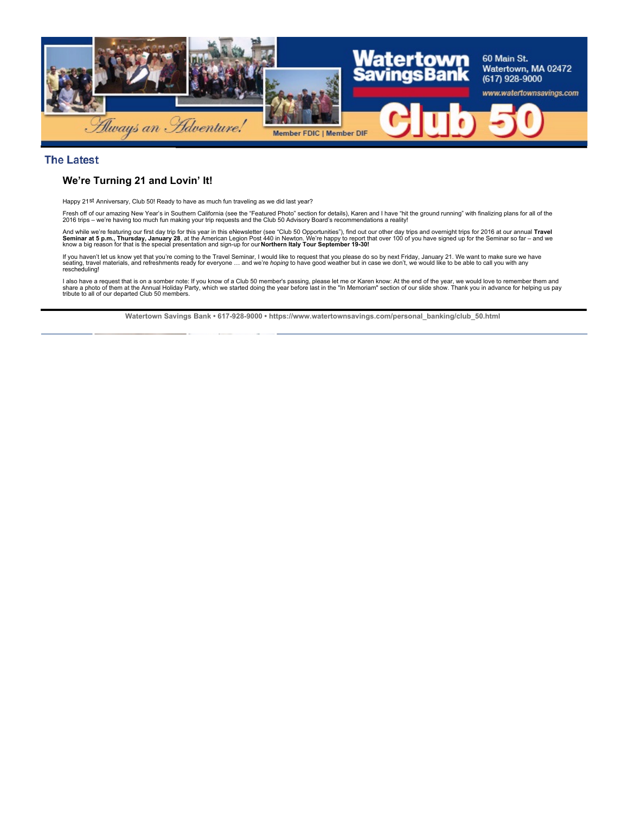

#### **The Latest**

## **We're Turning 21 and Lovin' It!**

Happy 21st Anniversary, Club 50! Ready to have as much fun traveling as we did last year?

Fresh off of our amazing New Year's in Southern California (see the "Featured Photo" section for details), Karen and I have "hit the ground running" with finalizing plans for all of the<br>2016 trips – we're having too much f

And while we're featuring our first day trip for this year in this eNewsletter (see "Club 50 Opportunities"), find out our orher day trips and overnight trips for 2016 at our annual **Travel**<br>**Seminar at 5 p.m., Thursday, J** 

If you haven't let us know yet that you're coming to the Travel Seminar, I would like to request that you please do so by next Friday, January 21. We want to make sure we have<br>seating, travel materials, and refreshments re

l also have a request that is on a somber note: If you know of a Club 50 member's passing, please let me or Karen know: At the end of the year, we would love to remember them and<br>share a photo of them at the Annual Holiday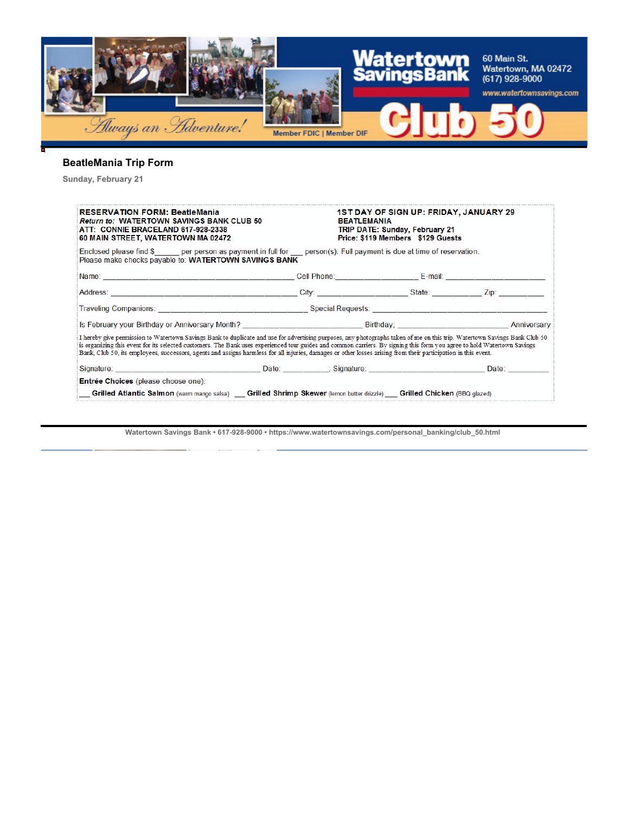

# **BeatleMania Trip Form**

**Sunday, February 21**

| <b>RESERVATION FORM: BeatleMania</b><br><b>Return to: WATERTOWN SAVINGS BANK CLUB 50</b><br>ATT: CONNIE BRACELAND 617-928-2338<br>60 MAIN STREET, WATERTOWN MA 02472                                                                                                                                                                                                                                                                                                                                                      |                                                                                                                                                                                                                                | 1ST DAY OF SIGN UP: FRIDAY, JANUARY 29<br><b>BEATLEMANIA</b><br><b>TRIP DATE: Sunday, February 21</b><br>Price: \$119 Members \$129 Guests |  |  |
|---------------------------------------------------------------------------------------------------------------------------------------------------------------------------------------------------------------------------------------------------------------------------------------------------------------------------------------------------------------------------------------------------------------------------------------------------------------------------------------------------------------------------|--------------------------------------------------------------------------------------------------------------------------------------------------------------------------------------------------------------------------------|--------------------------------------------------------------------------------------------------------------------------------------------|--|--|
| Enclosed please find $\frac{1}{2}$ per person as payment in full for person(s). Full payment is due at time of reservation.<br>Please make checks payable to: WATERTOWN SAVINGS BANK                                                                                                                                                                                                                                                                                                                                      |                                                                                                                                                                                                                                |                                                                                                                                            |  |  |
|                                                                                                                                                                                                                                                                                                                                                                                                                                                                                                                           |                                                                                                                                                                                                                                |                                                                                                                                            |  |  |
|                                                                                                                                                                                                                                                                                                                                                                                                                                                                                                                           |                                                                                                                                                                                                                                |                                                                                                                                            |  |  |
|                                                                                                                                                                                                                                                                                                                                                                                                                                                                                                                           | Traveling Companions: Note that the Special Requests: Note that the Special Requests: Note that the second second second second second second second second second second second second second second second second second sec |                                                                                                                                            |  |  |
|                                                                                                                                                                                                                                                                                                                                                                                                                                                                                                                           |                                                                                                                                                                                                                                |                                                                                                                                            |  |  |
| I hereby give permission to Watertown Savings Bank to duplicate and use for advertising purposes, any photographs taken of me on this trip. Watertown Savings Bank Club 50<br>is organizing this event for its selected customers. The Bank uses experienced tour guides and common carriers. By signing this form you agree to hold Watertown Savings<br>Bank, Club 50, its employees, successors, agents and assigns harmless for all injuries, damages or other losses arising from their participation in this event. |                                                                                                                                                                                                                                |                                                                                                                                            |  |  |
| Signature: Date: Date: Date: Signature: Date: Date: Date: Date: Date: Date: Date: Date: Date:                                                                                                                                                                                                                                                                                                                                                                                                                             |                                                                                                                                                                                                                                |                                                                                                                                            |  |  |
| Entrée Choices (please choose one):<br>Grilled Atlantic Salmon (warm mango salsa) Grilled Shrimp Skewer (lemon butter drizzle) Grilled Chicken (BBQ glazed)                                                                                                                                                                                                                                                                                                                                                               |                                                                                                                                                                                                                                |                                                                                                                                            |  |  |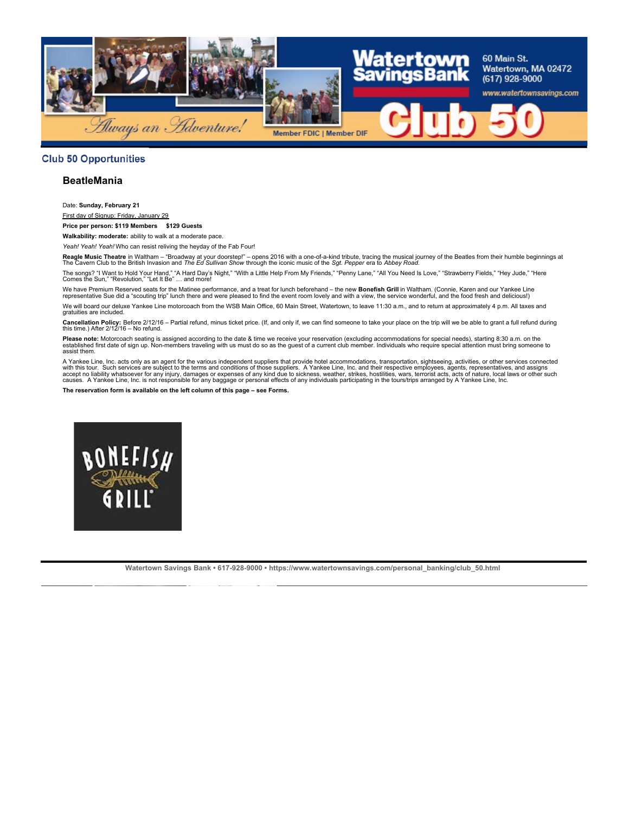

### **Club 50 Opportunities**

### **BeatleMania**

Date: **Sunday, February 21**

First day of Signup: Friday, January 29

**Price per person: \$119 Members \$129 Guests**

**Walkability: moderate:** ability to walk at a moderate pace.

*Yeah! Yeah! Yeah!* Who can resist reliving the heyday of the Fab Four!

**Reagle Music Theatre** in Waltham – "Broadway at your doorstep!" – opens 2016 with a one-of-a-kind tribute, tracing the musical journey of the Beatles from their humble beginnings at<br>The Cavern Club to the British Invasion

The songs? "I Want to Hold Your Hand," "A Hard Day's Night," "With a Little Help From My Friends," "Penny Lane," "All You Need Is Love," "Strawberry Fields," "Hey Jude," "Here<br>Comes the Sun," "Revolution," "Let It Be" … an

We have Premium Reserved seats for the Matinee performance, and a treat for lunch beforehand – the new **Bonefish Grill** in Waltham. (Connie, Karen and our Yankee Line<br>representative Sue did a "scouting trip" lunch there an We will board our deluxe Yankee Line motorcoach from the WSB Main Office, 60 Main Street, Watertown, to leave 11:30 a.m., and to return at approximately 4 p.m. All taxes and gratuities are included.

**Cancellation Policy:** Before 2/12/16 – Partial refund, minus ticket price. (If, and only if, we can find someone to take your place on the trip will we be able to grant a full refund during<br>this time.) After 2/12/16 – No

Please note: Motorcoach seating is assigned according to the date & time we receive your reservation (excluding accommodations for special needs), starting 8:30 a.m. on the<br>established first date of sign up. Non-members tr assist them.

A Yankee Line, Inc. acts only as an agent for the various independent suppliers that provide hotel accommodations, transportation, sightseeing, activities, or other services connected<br>with this tour. Such services are subj

**The reservation form is available on the left column of this page – see Forms.**

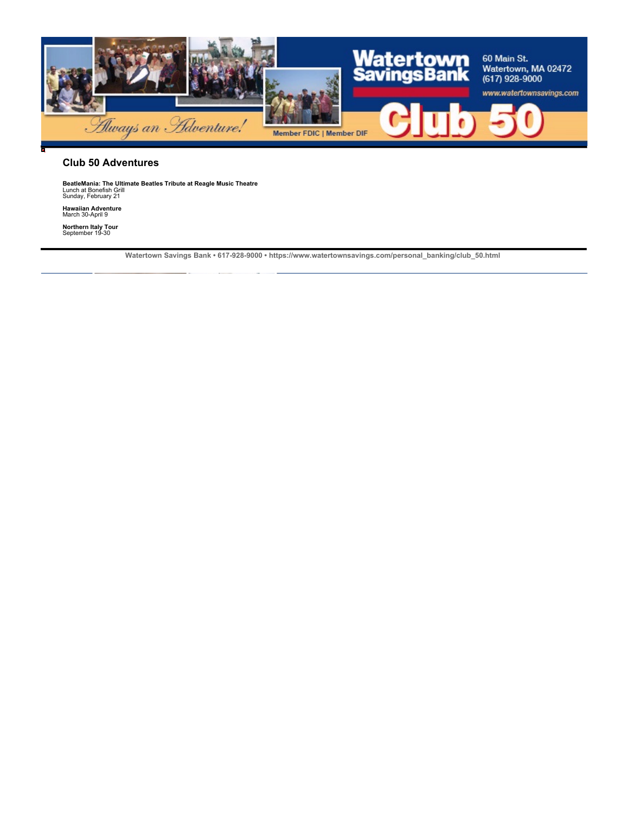

#### **Club 50 Adventures**

**BeatleMania: The Ultimate Beatles Tribute at Reagle Music Theatre<br>Lunch at Bonefish Grill<br>Sunday, February 21** 

**Hawaiian Adventure** March 30-April 9

**Northern Italy Tour** September 19-30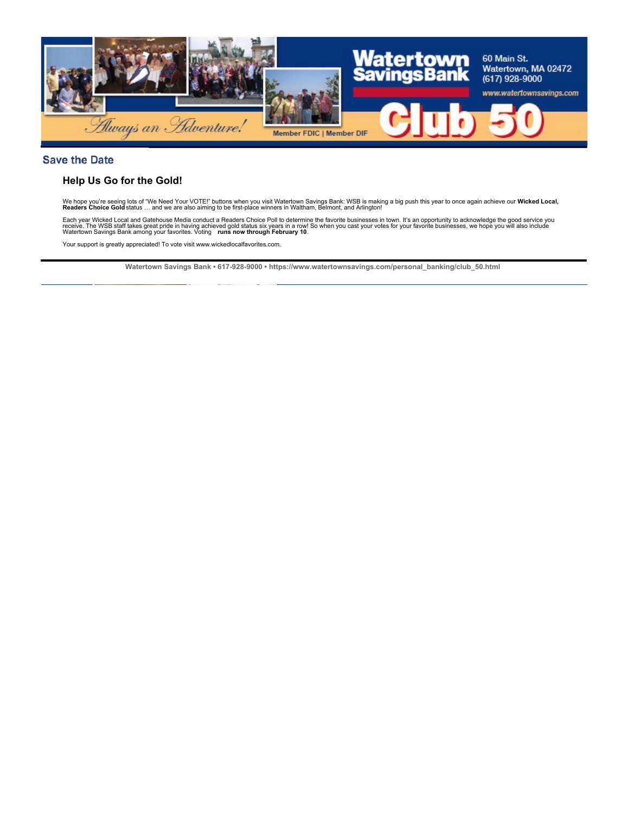

## **Save the Date**

## **Help Us Go for the Gold!**

We hope you're seeing lots of "We Need Your VOTE!" buttons when you visit Watertown Savings Bank: WSB is making a big push this year to once again achieve our **Wicked Local,**<br>**Readers Choice Gold** status … and we are also

Each year Wicked Local and Gatehouse Media conduct a Readers Choice Poll to determine the favorite businesses in town. It's an opportunity to acknowledge the good service you<br>receive. The WSB staff takes great pride in hav

Your support is greatly appreciated! To vote visit www.wickedlocalfavorites.com.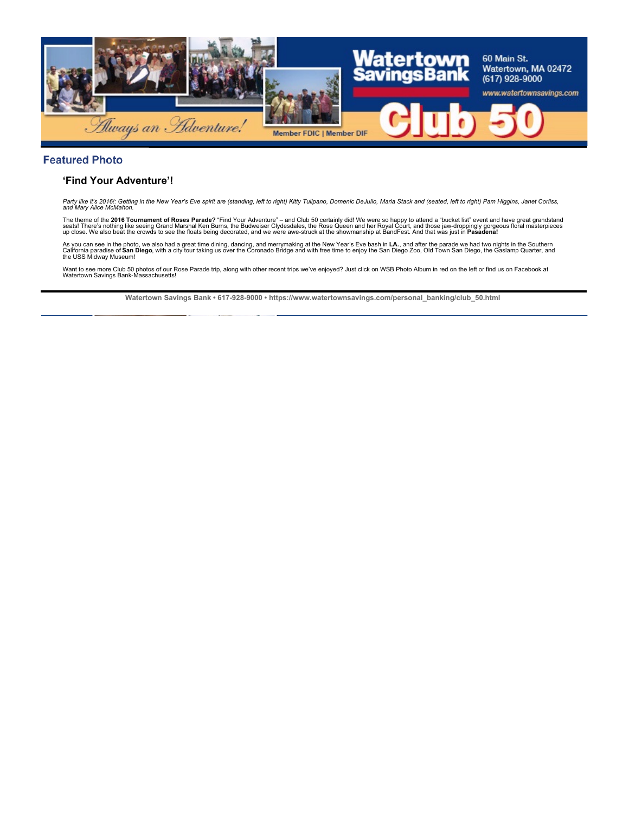

## **Featured Photo**

## **'Find Your Adventure'!**

Party like it's 2016!: Getting in the New Year's Eve spirit are (standing, left to right) Kitty Tulipano, Domenic DeJulio, Maria Stack and (seated, left to right) Pam Higgins, Janet Corliss,<br>and Mary Alice McMahon.

The theme of the **2016 Tournament of Roses Parade?** "Find Your Adventure" – and Club 50 certainly did! We were so happy to attend a "bucket list" event and have great grandstand<br>seats! There's nothing like seeing Grand Mar

As you can see in the photo, we also had a great time dining, dancing, and merrymaking at the New Year's Eve bash in **LA.**, and after the parade we had two nights in the Southern<br>California paradise of **San Diego**, with a

Want to see more Club 50 photos of our Rose Parade trip, along with other recent trips we've enjoyed? Just click on WSB Photo Album in red on the left or find us on Facebook at Watertown Savings Bank-Massachusetts!